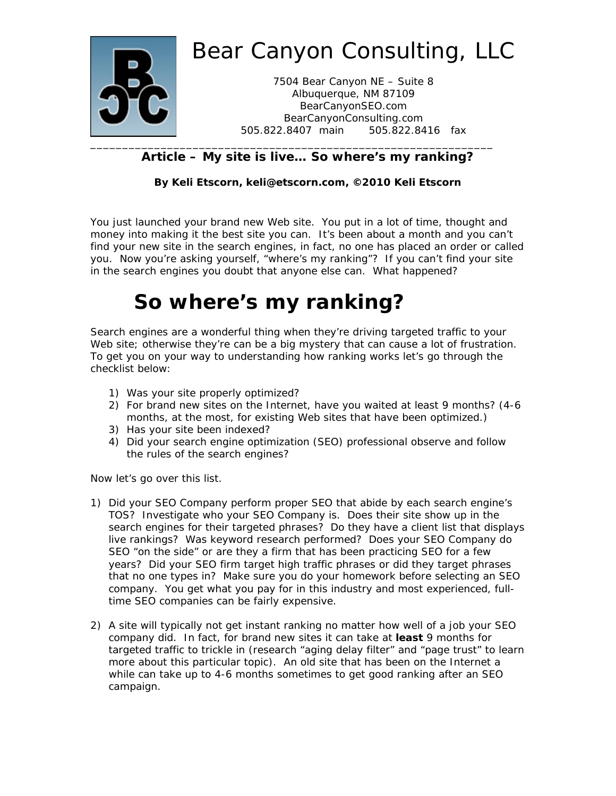

### **Article – My site is live… So where's my ranking?**

#### **By Keli Etscorn, keli@etscorn.com, ©2010 Keli Etscorn**

You just launched your brand new Web site. You put in a lot of time, thought and money into making it the best site you can. It's been about a month and you can't find your new site in the search engines, in fact, no one has placed an order or called you. Now you're asking yourself, "where's my ranking"? If you can't find your site in the search engines you doubt that anyone else can. What happened?

## **So where's my ranking?**

Search engines are a wonderful thing when they're driving targeted traffic to your Web site; otherwise they're can be a big mystery that can cause a lot of frustration. To get you on your way to understanding how ranking works let's go through the checklist below:

- 1) Was your site properly optimized?
- 2) For brand new sites on the Internet, have you waited at least 9 months? (4-6 months, at the most, for existing Web sites that have been optimized.)
- 3) Has your site been indexed?
- 4) Did your search engine optimization (SEO) professional observe and follow the rules of the search engines?

Now let's go over this list.

- 1) Did your SEO Company perform proper SEO that abide by each search engine's TOS? Investigate who your SEO Company is. Does their site show up in the search engines for their targeted phrases? Do they have a client list that displays live rankings? Was keyword research performed? Does your SEO Company do SEO "on the side" or are they a firm that has been practicing SEO for a few years? Did your SEO firm target high traffic phrases or did they target phrases that no one types in? Make sure you do your homework before selecting an SEO company. You get what you pay for in this industry and most experienced, fulltime SEO companies can be fairly expensive.
- 2) A site will typically not get instant ranking no matter how well of a job your SEO company did. In fact, for brand new sites it can take at **least** 9 months for targeted traffic to trickle in (research "aging delay filter" and "page trust" to learn more about this particular topic). An old site that has been on the Internet a while can take up to 4-6 months sometimes to get good ranking after an SEO campaign.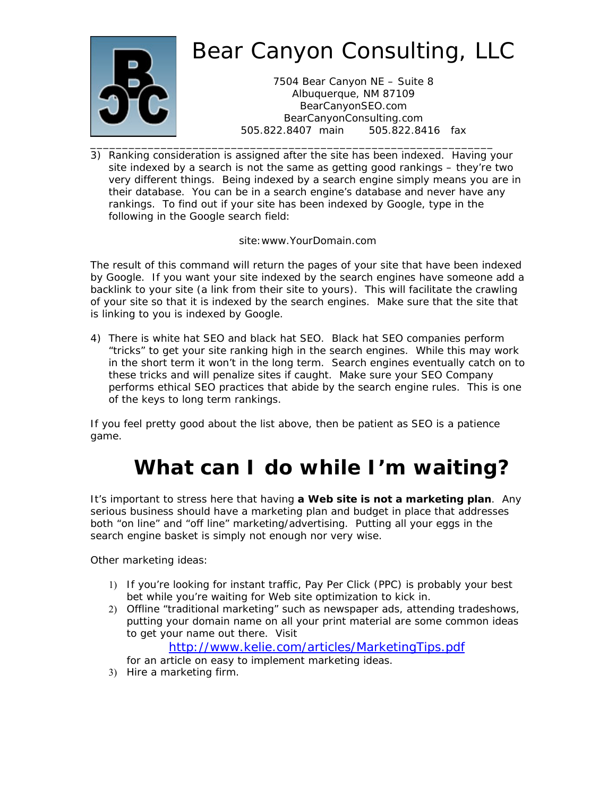

3) Ranking consideration is assigned after the site has been indexed. Having your site indexed by a search is not the same as getting good rankings – they're two very different things. Being indexed by a search engine simply means you are in their database. You can be in a search engine's database and never have any rankings. To find out if your site has been indexed by Google, type in the following in the Google search field:

site:www.YourDomain.com

The result of this command will return the pages of your site that have been indexed by Google. If you want your site indexed by the search engines have someone add a backlink to your site (a link from their site to yours). This will facilitate the crawling of your site so that it is indexed by the search engines. Make sure that the site that is linking to you is indexed by Google.

4) There is white hat SEO and black hat SEO. Black hat SEO companies perform "tricks" to get your site ranking high in the search engines. While this may work in the short term it won't in the long term. Search engines eventually catch on to these tricks and will penalize sites if caught. Make sure your SEO Company performs ethical SEO practices that abide by the search engine rules. This is one of the keys to long term rankings.

If you feel pretty good about the list above, then be patient as SEO is a patience game.

# **What can I do while I'm waiting?**

It's important to stress here that having **a Web site is not a marketing plan**. Any serious business should have a marketing plan and budget in place that addresses both "on line" and "off line" marketing/advertising. Putting all your eggs in the search engine basket is simply not enough nor very wise.

Other marketing ideas:

- If you're looking for instant traffic, Pay Per Click (PPC) is probably your best bet while you're waiting for Web site optimization to kick in.
- Offline "traditional marketing" such as newspaper ads, attending tradeshows, putting your domain name on all your print material are some common ideas to get your name out there. Visit

http://www.kelie.com/articles/MarketingTips.pdf

- for an article on easy to implement marketing ideas.
- 3) Hire a marketing firm.